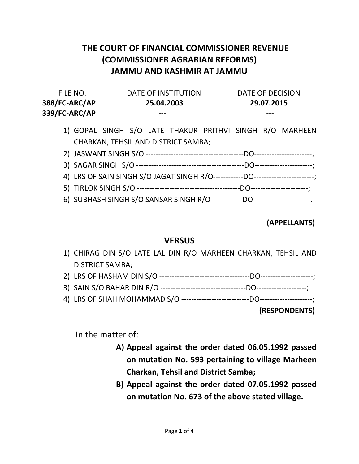## THE COURT OF FINANCIAL COMMISSIONER REVENUE (COMMISSIONER AGRARIAN REFORMS) JAMMU AND KASHMIR AT JAMMU

| FILE NO.      | DATE OF INSTITUTION | DATE OF DECISION |
|---------------|---------------------|------------------|
| 388/FC-ARC/AP | 25.04.2003          | 29.07.2015       |
| 339/FC-ARC/AP | $- - -$             | $- - -$          |

- 1) GOPAL SINGH S/O LATE THAKUR PRITHVI SINGH R/O MARHEEN CHARKAN, TEHSIL AND DISTRICT SAMBA;
- 2) JASWANT SINGH S/O ---------------------------------------DO-----------------------; 3) SAGAR SINGH S/O -------------------------------------------DO-----------------------;
- 4) LRS OF SAIN SINGH S/O JAGAT SINGH R/O------------DO------------------------;
- 5) TIRLOK SINGH S/O -----------------------------------------DO-----------------------;
- 6) SUBHASH SINGH S/O SANSAR SINGH R/O ------------DO-----------------------.

## (APPELLANTS)

## **VERSUS**

- 1) CHIRAG DIN S/O LATE LAL DIN R/O MARHEEN CHARKAN, TEHSIL AND DISTRICT SAMBA;
- 2) LRS OF HASHAM DIN S/O ------------------------------------DO---------------------;
- 3) SAIN S/O BAHAR DIN R/O ----------------------------------DO--------------------;
- 4) LRS OF SHAH MOHAMMAD S/O ---------------------------DO---------------------;

(RESPONDENTS)

In the matter of:

- A) Appeal against the order dated 06.05.1992 passed on mutation No. 593 pertaining to village Marheen Charkan, Tehsil and District Samba;
- B) Appeal against the order dated 07.05.1992 passed on mutation No. 673 of the above stated village.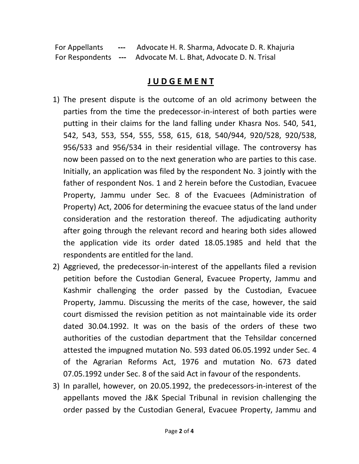For Appellants --- Advocate H. R. Sharma, Advocate D. R. Khajuria For Respondents --- Advocate M. L. Bhat, Advocate D. N. Trisal

## J U D G E M E N T

- 1) The present dispute is the outcome of an old acrimony between the parties from the time the predecessor-in-interest of both parties were putting in their claims for the land falling under Khasra Nos. 540, 541, 542, 543, 553, 554, 555, 558, 615, 618, 540/944, 920/528, 920/538, 956/533 and 956/534 in their residential village. The controversy has now been passed on to the next generation who are parties to this case. Initially, an application was filed by the respondent No. 3 jointly with the father of respondent Nos. 1 and 2 herein before the Custodian, Evacuee Property, Jammu under Sec. 8 of the Evacuees (Administration of Property) Act, 2006 for determining the evacuee status of the land under consideration and the restoration thereof. The adjudicating authority after going through the relevant record and hearing both sides allowed the application vide its order dated 18.05.1985 and held that the respondents are entitled for the land.
- 2) Aggrieved, the predecessor-in-interest of the appellants filed a revision petition before the Custodian General, Evacuee Property, Jammu and Kashmir challenging the order passed by the Custodian, Evacuee Property, Jammu. Discussing the merits of the case, however, the said court dismissed the revision petition as not maintainable vide its order dated 30.04.1992. It was on the basis of the orders of these two authorities of the custodian department that the Tehsildar concerned attested the impugned mutation No. 593 dated 06.05.1992 under Sec. 4 of the Agrarian Reforms Act, 1976 and mutation No. 673 dated 07.05.1992 under Sec. 8 of the said Act in favour of the respondents.
- 3) In parallel, however, on 20.05.1992, the predecessors-in-interest of the appellants moved the J&K Special Tribunal in revision challenging the order passed by the Custodian General, Evacuee Property, Jammu and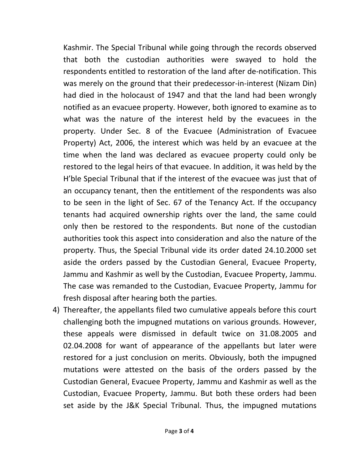Kashmir. The Special Tribunal while going through the records observed that both the custodian authorities were swayed to hold the respondents entitled to restoration of the land after de-notification. This was merely on the ground that their predecessor-in-interest (Nizam Din) had died in the holocaust of 1947 and that the land had been wrongly notified as an evacuee property. However, both ignored to examine as to what was the nature of the interest held by the evacuees in the property. Under Sec. 8 of the Evacuee (Administration of Evacuee Property) Act, 2006, the interest which was held by an evacuee at the time when the land was declared as evacuee property could only be restored to the legal heirs of that evacuee. In addition, it was held by the H'ble Special Tribunal that if the interest of the evacuee was just that of an occupancy tenant, then the entitlement of the respondents was also to be seen in the light of Sec. 67 of the Tenancy Act. If the occupancy tenants had acquired ownership rights over the land, the same could only then be restored to the respondents. But none of the custodian authorities took this aspect into consideration and also the nature of the property. Thus, the Special Tribunal vide its order dated 24.10.2000 set aside the orders passed by the Custodian General, Evacuee Property, Jammu and Kashmir as well by the Custodian, Evacuee Property, Jammu. The case was remanded to the Custodian, Evacuee Property, Jammu for fresh disposal after hearing both the parties.

4) Thereafter, the appellants filed two cumulative appeals before this court challenging both the impugned mutations on various grounds. However, these appeals were dismissed in default twice on 31.08.2005 and 02.04.2008 for want of appearance of the appellants but later were restored for a just conclusion on merits. Obviously, both the impugned mutations were attested on the basis of the orders passed by the Custodian General, Evacuee Property, Jammu and Kashmir as well as the Custodian, Evacuee Property, Jammu. But both these orders had been set aside by the J&K Special Tribunal. Thus, the impugned mutations